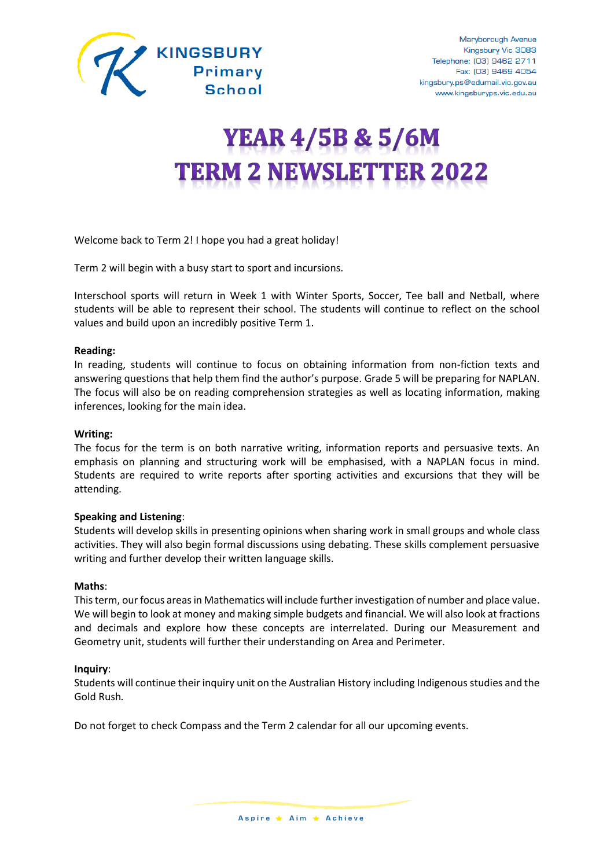

# **YEAR 4/5B & 5/6M TERM 2 NEWSLETTER 2022**

Welcome back to Term 2! I hope you had a great holiday!

Term 2 will begin with a busy start to sport and incursions.

Interschool sports will return in Week 1 with Winter Sports, Soccer, Tee ball and Netball, where students will be able to represent their school. The students will continue to reflect on the school values and build upon an incredibly positive Term 1.

## **Reading:**

In reading, students will continue to focus on obtaining information from non-fiction texts and answering questions that help them find the author's purpose. Grade 5 will be preparing for NAPLAN. The focus will also be on reading comprehension strategies as well as locating information, making inferences, looking for the main idea.

## **Writing:**

The focus for the term is on both narrative writing, information reports and persuasive texts. An emphasis on planning and structuring work will be emphasised, with a NAPLAN focus in mind. Students are required to write reports after sporting activities and excursions that they will be attending.

#### **Speaking and Listening**:

Students will develop skills in presenting opinions when sharing work in small groups and whole class activities. They will also begin formal discussions using debating. These skills complement persuasive writing and further develop their written language skills.

#### **Maths**:

This term, our focus areas in Mathematics will include further investigation of number and place value. We will begin to look at money and making simple budgets and financial. We will also look at fractions and decimals and explore how these concepts are interrelated. During our Measurement and Geometry unit, students will further their understanding on Area and Perimeter.

#### **Inquiry**:

Students will continue their inquiry unit on the Australian History including Indigenous studies and the Gold Rush*.* 

Do not forget to check Compass and the Term 2 calendar for all our upcoming events.

Aspire ★ Aim ★ Achieve